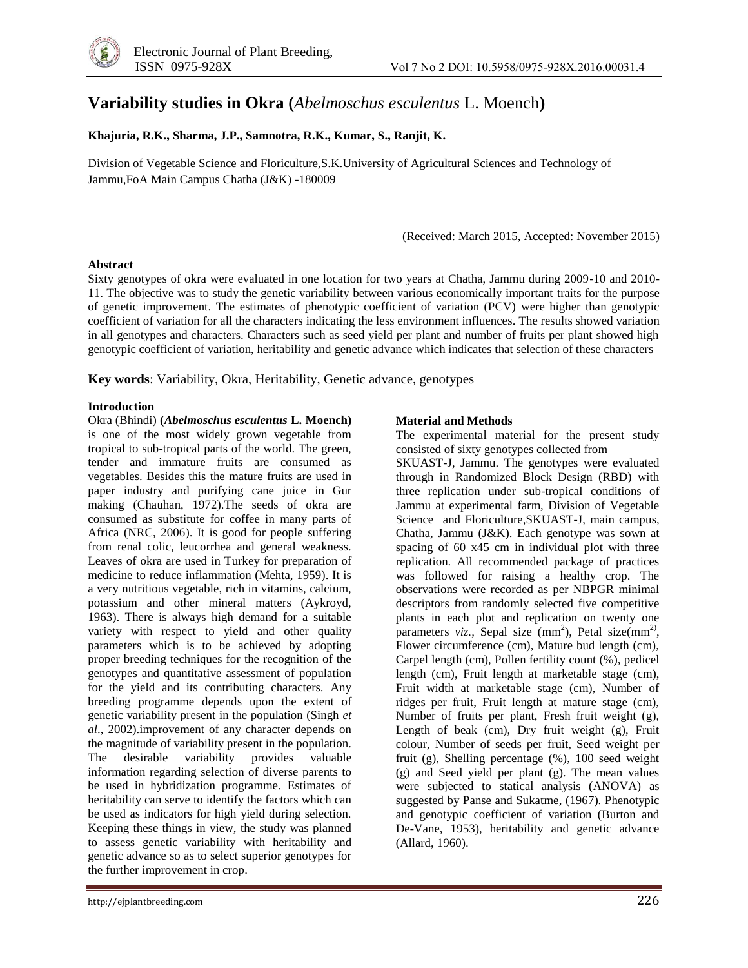# **Variability studies in Okra (***Abelmoschus esculentus* L. Moench**)**

### **Khajuria, R.K., Sharma, J.P., Samnotra, R.K., Kumar, S., Ranjit, K.**

Division of Vegetable Science and Floriculture,S.K.University of Agricultural Sciences and Technology of Jammu,FoA Main Campus Chatha (J&K) -180009

(Received: March 2015, Accepted: November 2015)

### **Abstract**

Sixty genotypes of okra were evaluated in one location for two years at Chatha, Jammu during 2009-10 and 2010- 11. The objective was to study the genetic variability between various economically important traits for the purpose of genetic improvement. The estimates of phenotypic coefficient of variation (PCV) were higher than genotypic coefficient of variation for all the characters indicating the less environment influences. The results showed variation in all genotypes and characters. Characters such as seed yield per plant and number of fruits per plant showed high genotypic coefficient of variation, heritability and genetic advance which indicates that selection of these characters

**Key words**: Variability, Okra, Heritability, Genetic advance, genotypes

### **Introduction**

Okra (Bhindi) **(***Abelmoschus esculentus* **L. Moench)** is one of the most widely grown vegetable from tropical to sub-tropical parts of the world. The green, tender and immature fruits are consumed as vegetables. Besides this the mature fruits are used in paper industry and purifying cane juice in Gur making (Chauhan, 1972).The seeds of okra are consumed as substitute for coffee in many parts of Africa (NRC, 2006). It is good for people suffering from renal colic, leucorrhea and general weakness. Leaves of okra are used in Turkey for preparation of medicine to reduce inflammation (Mehta, 1959). It is a very nutritious vegetable, rich in vitamins, calcium, potassium and other mineral matters (Aykroyd, 1963). There is always high demand for a suitable variety with respect to yield and other quality parameters which is to be achieved by adopting proper breeding techniques for the recognition of the genotypes and quantitative assessment of population for the yield and its contributing characters. Any breeding programme depends upon the extent of genetic variability present in the population (Singh *et al*., 2002).improvement of any character depends on the magnitude of variability present in the population. The desirable variability provides valuable information regarding selection of diverse parents to be used in hybridization programme. Estimates of heritability can serve to identify the factors which can be used as indicators for high yield during selection. Keeping these things in view, the study was planned to assess genetic variability with heritability and genetic advance so as to select superior genotypes for the further improvement in crop.

#### **Material and Methods**

The experimental material for the present study consisted of sixty genotypes collected from

SKUAST-J, Jammu. The genotypes were evaluated through in Randomized Block Design (RBD) with three replication under sub-tropical conditions of Jammu at experimental farm, Division of Vegetable Science and Floriculture,SKUAST-J, main campus, Chatha, Jammu (J&K). Each genotype was sown at spacing of 60 x45 cm in individual plot with three replication. All recommended package of practices was followed for raising a healthy crop. The observations were recorded as per NBPGR minimal descriptors from randomly selected five competitive plants in each plot and replication on twenty one parameters *viz.*, Sepal size (mm<sup>2</sup>), Petal size(mm<sup>2)</sup>, Flower circumference (cm), Mature bud length (cm), Carpel length (cm), Pollen fertility count (%), pedicel length (cm), Fruit length at marketable stage (cm), Fruit width at marketable stage (cm), Number of ridges per fruit, Fruit length at mature stage (cm), Number of fruits per plant, Fresh fruit weight (g), Length of beak (cm), Dry fruit weight (g), Fruit colour, Number of seeds per fruit, Seed weight per fruit (g), Shelling percentage (%), 100 seed weight (g) and Seed yield per plant (g). The mean values were subjected to statical analysis (ANOVA) as suggested by Panse and Sukatme, (1967). Phenotypic and genotypic coefficient of variation (Burton and De-Vane, 1953), heritability and genetic advance (Allard, 1960).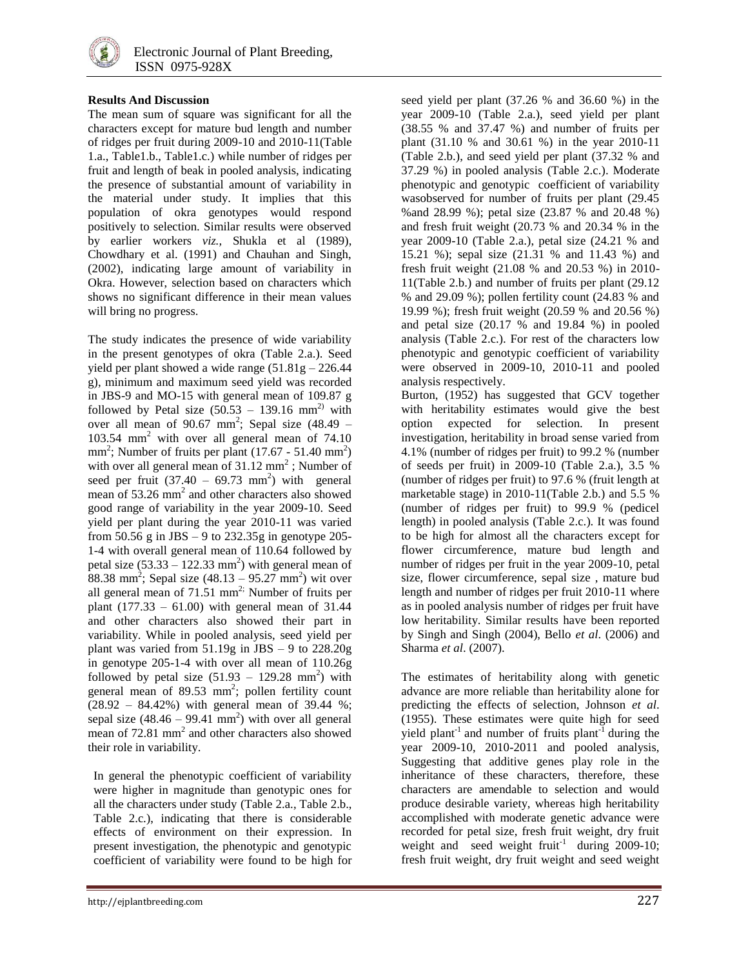

### **Results And Discussion**

The mean sum of square was significant for all the characters except for mature bud length and number of ridges per fruit during 2009-10 and 2010-11(Table 1.a., Table1.b., Table1.c.) while number of ridges per fruit and length of beak in pooled analysis, indicating the presence of substantial amount of variability in the material under study. It implies that this population of okra genotypes would respond positively to selection. Similar results were observed by earlier workers *viz.,* Shukla et al (1989), Chowdhary et al. (1991) and Chauhan and Singh, (2002), indicating large amount of variability in Okra. However, selection based on characters which shows no significant difference in their mean values will bring no progress.

The study indicates the presence of wide variability in the present genotypes of okra (Table 2.a.). Seed yield per plant showed a wide range  $(51.81g - 226.44$ g), minimum and maximum seed yield was recorded in JBS-9 and MO-15 with general mean of 109.87 g followed by Petal size  $(50.53 - 139.16 \text{ mm}^2)$  with over all mean of  $90.67$  mm<sup>2</sup>; Sepal size  $(48.49 -$ 103.54 mm<sup>2</sup> with over all general mean of 74.10  $mm<sup>2</sup>$ ; Number of fruits per plant (17.67 - 51.40 mm<sup>2</sup>) with over all general mean of  $31.12 \text{ mm}^2$ ; Number of seed per fruit  $(37.40 - 69.73 \text{ mm}^2)$  with general mean of 53.26 mm<sup>2</sup> and other characters also showed good range of variability in the year 2009-10. Seed yield per plant during the year 2010-11 was varied from 50.56 g in JBS – 9 to 232.35g in genotype 205- 1-4 with overall general mean of 110.64 followed by petal size  $(53.33 - 122.33 \text{ mm}^2)$  with general mean of  $88.38$  mm<sup>2</sup>; Sepal size  $(48.13 - 95.27$  mm<sup>2</sup>) wit over all general mean of  $71.51$  mm<sup>2;</sup> Number of fruits per plant  $(177.33 - 61.00)$  with general mean of 31.44 and other characters also showed their part in variability. While in pooled analysis, seed yield per plant was varied from  $51.19g$  in JBS – 9 to  $228.20g$ in genotype 205-1-4 with over all mean of 110.26g followed by petal size  $(51.93 - 129.28 \text{ mm}^2)$  with general mean of  $89.53 \text{ mm}^2$ ; pollen fertility count (28.92 – 84.42%) with general mean of 39.44 %; sepal size  $(48.46 - 99.41 \text{ mm}^2)$  with over all general mean of 72.81 mm<sup>2</sup> and other characters also showed their role in variability.

In general the phenotypic coefficient of variability were higher in magnitude than genotypic ones for all the characters under study (Table 2.a., Table 2.b., Table 2.c.), indicating that there is considerable effects of environment on their expression. In present investigation, the phenotypic and genotypic coefficient of variability were found to be high for seed yield per plant (37.26 % and 36.60 %) in the year 2009-10 (Table 2.a.), seed yield per plant (38.55 % and 37.47 %) and number of fruits per plant (31.10 % and 30.61 %) in the year 2010-11 (Table 2.b.), and seed yield per plant (37.32 % and 37.29 %) in pooled analysis (Table 2.c.). Moderate phenotypic and genotypic coefficient of variability wasobserved for number of fruits per plant (29.45 %and 28.99 %); petal size (23.87 % and 20.48 %) and fresh fruit weight (20.73 % and 20.34 % in the year 2009-10 (Table 2.a.), petal size (24.21 % and 15.21 %); sepal size (21.31 % and 11.43 %) and fresh fruit weight (21.08 % and 20.53 %) in 2010- 11(Table 2.b.) and number of fruits per plant (29.12 % and 29.09 %); pollen fertility count (24.83 % and 19.99 %); fresh fruit weight (20.59 % and 20.56 %) and petal size (20.17 % and 19.84 %) in pooled analysis (Table 2.c.). For rest of the characters low phenotypic and genotypic coefficient of variability were observed in 2009-10, 2010-11 and pooled analysis respectively.

Burton, (1952) has suggested that GCV together with heritability estimates would give the best option expected for selection. In present investigation, heritability in broad sense varied from 4.1% (number of ridges per fruit) to 99.2 % (number of seeds per fruit) in 2009-10 (Table 2.a.), 3.5 % (number of ridges per fruit) to 97.6 % (fruit length at marketable stage) in 2010-11(Table 2.b.) and 5.5 % (number of ridges per fruit) to 99.9 % (pedicel length) in pooled analysis (Table 2.c.). It was found to be high for almost all the characters except for flower circumference, mature bud length and number of ridges per fruit in the year 2009-10, petal size, flower circumference, sepal size , mature bud length and number of ridges per fruit 2010-11 where as in pooled analysis number of ridges per fruit have low heritability. Similar results have been reported by Singh and Singh (2004), Bello *et al*. (2006) and Sharma *et al*. (2007).

The estimates of heritability along with genetic advance are more reliable than heritability alone for predicting the effects of selection, Johnson *et al*. (1955). These estimates were quite high for seed yield plant<sup>-1</sup> and number of fruits plant<sup>-1</sup> during the year 2009-10, 2010-2011 and pooled analysis, Suggesting that additive genes play role in the inheritance of these characters, therefore, these characters are amendable to selection and would produce desirable variety, whereas high heritability accomplished with moderate genetic advance were recorded for petal size, fresh fruit weight, dry fruit weight and seed weight fruit<sup>-1</sup> during 2009-10; fresh fruit weight, dry fruit weight and seed weight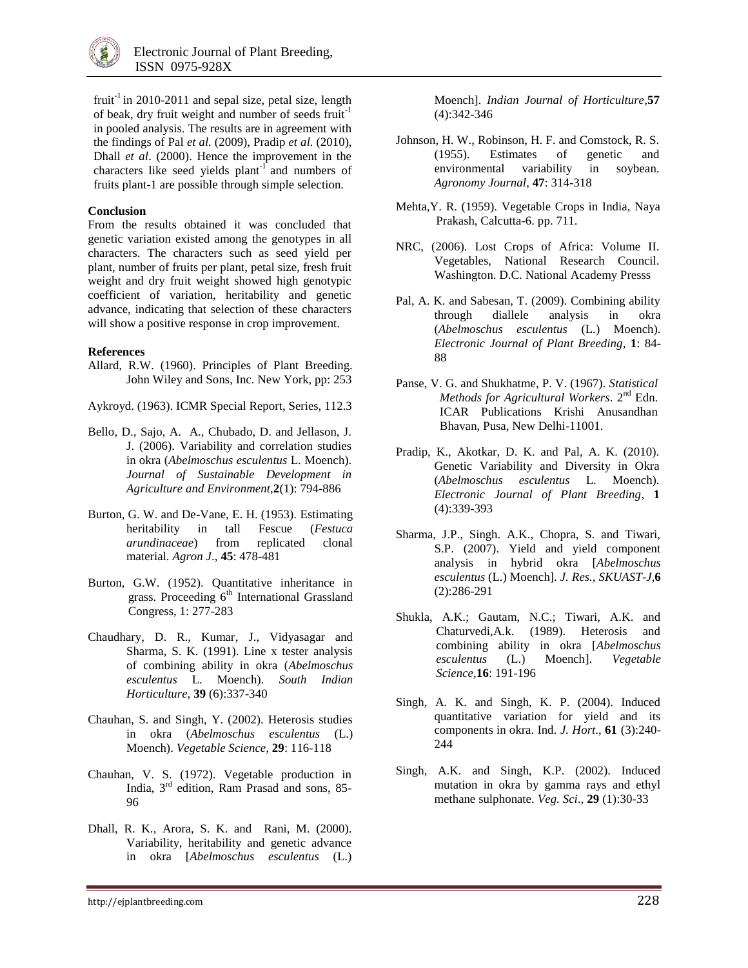

fruit<sup>-1</sup> in 2010-2011 and sepal size, petal size, length of beak, dry fruit weight and number of seeds fruit<sup>-1</sup> in pooled analysis. The results are in agreement with the findings of Pal *et al.* (2009), Pradip *et al.* (2010), Dhall *et al*. (2000). Hence the improvement in the characters like seed yields plant<sup>-1</sup> and numbers of fruits plant-1 are possible through simple selection.

### **Conclusion**

From the results obtained it was concluded that genetic variation existed among the genotypes in all characters. The characters such as seed yield per plant, number of fruits per plant, petal size, fresh fruit weight and dry fruit weight showed high genotypic coefficient of variation, heritability and genetic advance, indicating that selection of these characters will show a positive response in crop improvement.

### **References**

Allard, R.W. (1960). Principles of Plant Breeding. John Wiley and Sons, Inc. New York, pp: 253

Aykroyd. (1963). ICMR Special Report, Series, 112.3

- Bello, D., Sajo, A. A., Chubado, D. and Jellason, J. J. (2006). Variability and correlation studies in okra (*Abelmoschus esculentus* L. Moench). *Journal of Sustainable Development in Agriculture and Environment,***2**(1): 794-886
- Burton, G. W. and De-Vane, E. H. (1953). Estimating heritability in tall Fescue (*Festuca arundinaceae*) from replicated clonal material. *Agron J*., **45**: 478-481
- Burton, G.W. (1952). Quantitative inheritance in grass. Proceeding  $6<sup>th</sup>$  International Grassland Congress, 1: 277-283
- Chaudhary, D. R., Kumar, J., Vidyasagar and Sharma, S. K. (1991). Line x tester analysis of combining ability in okra (*Abelmoschus esculentus* L. Moench). *South Indian Horticulture*, **39** (6):337-340
- Chauhan, S. and Singh, Y. (2002). Heterosis studies in okra (*Abelmoschus esculentus* (L.) Moench). *Vegetable Science*, **29**: 116-118
- Chauhan, V. S. (1972). Vegetable production in India, 3rd edition, Ram Prasad and sons, 85- 96
- [Dhall, R. K.,](http://www.cabdirect.org/search.html?q=au%3A%22Dhall%2C+R.+K.%22) [Arora, S. K.](http://www.cabdirect.org/search.html?q=au%3A%22Arora%2C+S.+K.%22) and [Rani,](http://www.cabdirect.org/search.html?q=au%3A%22Mamta+Rani%22) M. (2000). Variability, heritability and genetic advance in okra [*Abelmoschus esculentus* (L.)

Moench]. *[Indian Journal of Horticulture,](http://www.cabdirect.org/search.html?q=do%3A%22Indian+Journal+of+Horticulture%22)***57**  (4):342-346

- Johnson, H. W., Robinson, H. F. and Comstock, R. S. (1955). Estimates of genetic and environmental variability in soybean. *Agronomy Journal*, **47**: 314-318
- Mehta,Y. R. (1959). Vegetable Crops in India, Naya Prakash, Calcutta-6. pp. 711.
- NRC, (2006). Lost Crops of Africa: Volume II. Vegetables, National Research Council. Washington. D.C. National Academy Presss
- Pal, A. K. and Sabesan, T. (2009). Combining ability through diallele analysis in okra (*Abelmoschus esculentus* (L.) Moench). *Electronic Journal of Plant Breeding,* **1**: 84- 88
- Panse, V. G. and Shukhatme, P. V. (1967). *Statistical Methods for Agricultural Workers*. 2nd Edn. ICAR Publications Krishi Anusandhan Bhavan, Pusa, New Delhi-11001.
- Pradip, K., Akotkar, D. K. and Pal, A. K. (2010). Genetic Variability and Diversity in Okra (*Abelmoschus esculentus* L. Moench)*. Electronic Journal of Plant Breeding*, **1**  (4):339-393
- Sharma, J.P., Singh. A.K., Chopra, S. and Tiwari, S.P. (2007). Yield and yield component analysis in hybrid okra [*Abelmoschus esculentus* (L.) Moench]. *J. Res., SKUAST-J,***6**  (2):286-291
- Shukla, A.K.; Gautam, N.C.; Tiwari, A.K. and Chaturvedi,A.k. (1989). Heterosis and combining ability in okra [*Abelmoschus esculentus* (L.) Moench]. *Vegetable Science,***16**: 191-196
- Singh, A. K. and Singh, K. P. (2004). Induced quantitative variation for yield and its components in okra. Ind. *J. Hort*., **61** (3):240- 244
- Singh, A.K. and Singh, K.P. (2002). Induced mutation in okra by gamma rays and ethyl methane sulphonate. *Veg. Sci*., **29** (1):30-33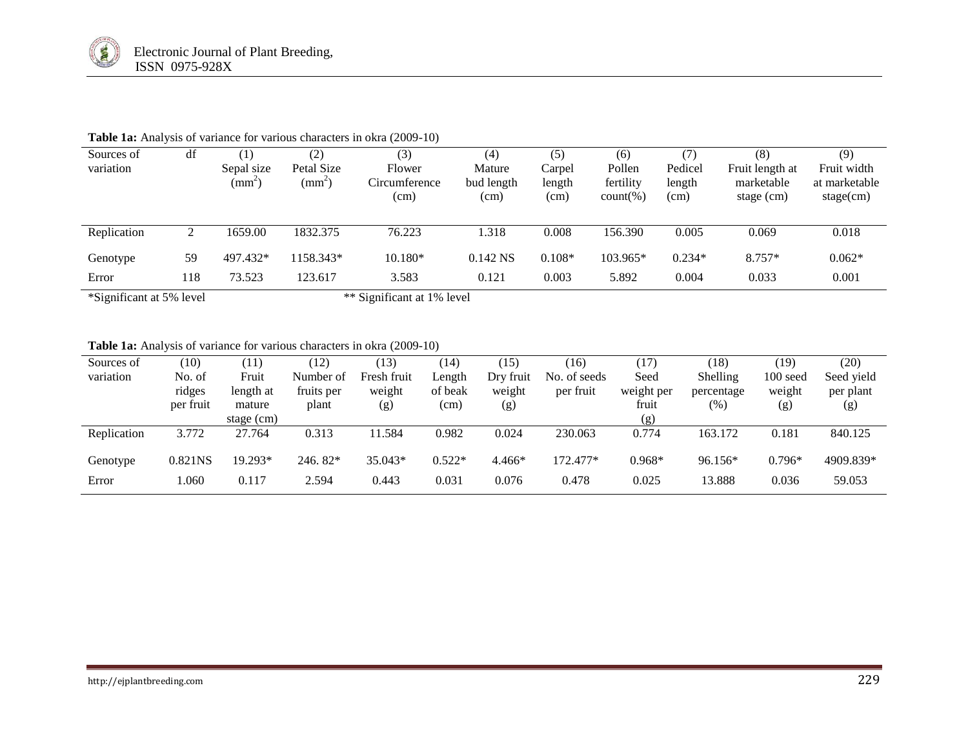| Sources of<br>variation  | df  | $\left(1\right)$<br>Sepal size<br>$\text{(mm}^2)$ | (2)<br>Petal Size<br>$(mm^2)$ | (3)<br>Flower<br>Circumference<br>(cm) | (4)<br>Mature<br>bud length<br>(cm) | (5)<br>Carpel<br>length<br>(cm) | (6)<br>Pollen<br>fertility<br>$count(\% )$ | (7)<br>Pedicel<br>length<br>(cm) | (8)<br>Fruit length at<br>marketable<br>stage (cm) | (9)<br>Fruit width<br>at marketable<br>stage(cm) |
|--------------------------|-----|---------------------------------------------------|-------------------------------|----------------------------------------|-------------------------------------|---------------------------------|--------------------------------------------|----------------------------------|----------------------------------------------------|--------------------------------------------------|
| Replication              |     | 1659.00                                           | 1832.375                      | 76.223                                 | 1.318                               | 0.008                           | 156.390                                    | 0.005                            | 0.069                                              | 0.018                                            |
| Genotype                 | 59  | 497.432*                                          | 1158.343*                     | $10.180*$                              | $0.142$ NS                          | $0.108*$                        | 103.965*                                   | $0.234*$                         | $8.757*$                                           | $0.062*$                                         |
| Error                    | 118 | 73.523                                            | 123.617                       | 3.583                                  | 0.121                               | 0.003                           | 5.892                                      | 0.004                            | 0.033                                              | 0.001                                            |
| *Significant at 5% level |     |                                                   |                               | ** Significant at 1% level             |                                     |                                 |                                            |                                  |                                                    |                                                  |

# Table 1a: Analysis of variance for various characters in okra (2009-10)

# **Table 1a:** Analysis of variance for various characters in okra (2009-10)

| Sources of  | (10)      | (11)       | (12)       | (13)        | (14)     | (15)      | (16)         | (17)       | (18)       | (19)       | (20)       |
|-------------|-----------|------------|------------|-------------|----------|-----------|--------------|------------|------------|------------|------------|
| variation   | No. of    | Fruit      | Number of  | Fresh fruit | Length   | Dry fruit | No. of seeds | Seed       | Shelling   | $100$ seed | Seed yield |
|             | ridges    | length at  | fruits per | weight      | of beak  | weight    | per fruit    | weight per | percentage | weight     | per plant  |
|             | per fruit | mature     | plant      | (g)         | (cm)     | (g)       |              | fruit      | (%)        | (g)        | (g)        |
|             |           | stage (cm) |            |             |          |           |              | (g)        |            |            |            |
| Replication | 3.772     | 27.764     | 0.313      | 11.584      | 0.982    | 0.024     | 230.063      | 0.774      | 163.172    | 0.181      | 840.125    |
| Genotype    | 0.821NS   | 19.293*    | $246.82*$  | 35.043*     | $0.522*$ | $4.466*$  | 172.477*     | $0.968*$   | $96.156*$  | $0.796*$   | 4909.839*  |
| Error       | 1.060     | 0.117      | 2.594      | 0.443       | 0.031    | 0.076     | 0.478        | 0.025      | 13.888     | 0.036      | 59.053     |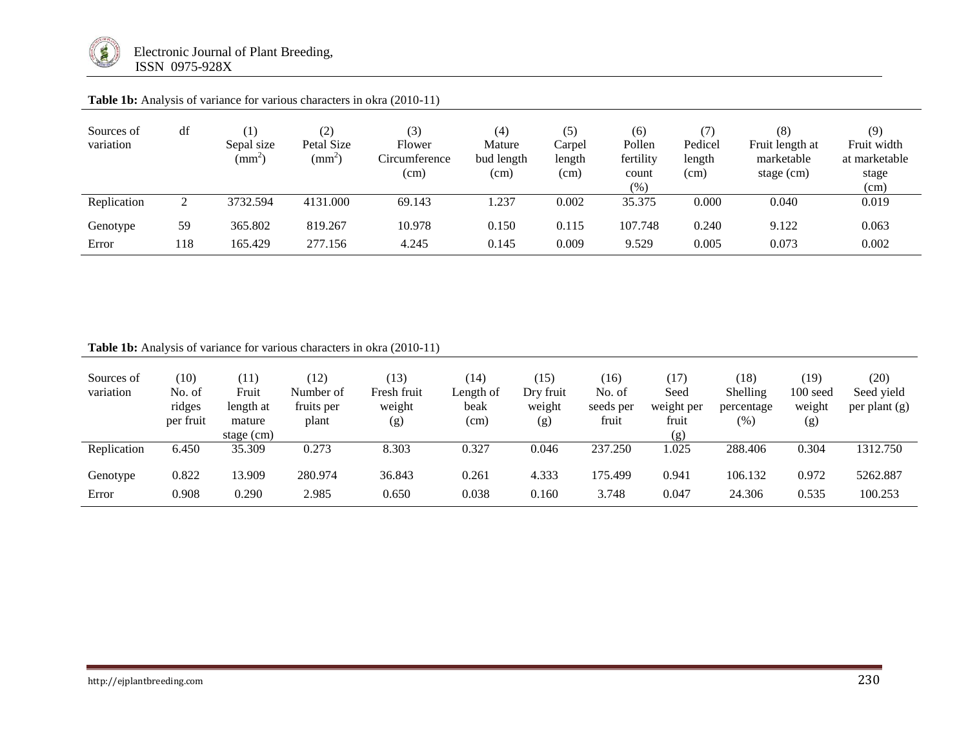

| Sources of<br>variation | df  | $\left(1\right)$<br>Sepal size<br>$\text{m}^{\omega}$ | (2)<br>Petal Size<br>$(mm^2)$ | (3)<br>Flower<br>Circumference<br>(cm) | (4)<br>Mature<br>bud length<br>(cm) | (5)<br>Carpel<br>length<br>(cm) | (6)<br>Pollen<br>fertility<br>count<br>(%) | (7)<br>Pedicel<br>length<br>(cm) | (8)<br>Fruit length at<br>marketable<br>stage $(cm)$ | (9)<br>Fruit width<br>at marketable<br>stage<br>(cm) |
|-------------------------|-----|-------------------------------------------------------|-------------------------------|----------------------------------------|-------------------------------------|---------------------------------|--------------------------------------------|----------------------------------|------------------------------------------------------|------------------------------------------------------|
| Replication             |     | 3732.594                                              | 4131.000                      | 69.143                                 | .237                                | 0.002                           | 35.375                                     | 0.000                            | 0.040                                                | 0.019                                                |
| Genotype                | 59  | 365.802                                               | 819.267                       | 10.978                                 | 0.150                               | 0.115                           | 107.748                                    | 0.240                            | 9.122                                                | 0.063                                                |
| Error                   | 118 | 165.429                                               | 277.156                       | 4.245                                  | 0.145                               | 0.009                           | 9.529                                      | 0.005                            | 0.073                                                | 0.002                                                |

Table 1b: Analysis of variance for various characters in okra (2010-11)

| Sources of<br>variation | (10)<br>No. of<br>ridges<br>per fruit | (11)<br>Fruit<br>length at<br>mature | (12)<br>Number of<br>fruits per<br>plant | (13)<br>Fresh fruit<br>weight<br>(g) | (14)<br>Length of<br>beak<br>(cm) | (15)<br>Dry fruit<br>weight<br>(g) | (16)<br>No. of<br>seeds per<br>fruit | (17)<br>Seed<br>weight per<br>fruit | (18)<br>Shelling<br>percentage<br>$(\%)$ | (19)<br>$100 \text{ seed}$<br>weight<br>(g) | (20)<br>Seed yield<br>per plant $(g)$ |
|-------------------------|---------------------------------------|--------------------------------------|------------------------------------------|--------------------------------------|-----------------------------------|------------------------------------|--------------------------------------|-------------------------------------|------------------------------------------|---------------------------------------------|---------------------------------------|
|                         |                                       | stage $(cm)$                         |                                          |                                      |                                   |                                    |                                      | (g)                                 |                                          |                                             |                                       |
| Replication             | 6.450                                 | 35.309                               | 0.273                                    | 8.303                                | 0.327                             | 0.046                              | 237.250                              | 1.025                               | 288.406                                  | 0.304                                       | 1312.750                              |
| Genotype                | 0.822                                 | 13.909                               | 280.974                                  | 36.843                               | 0.261                             | 4.333                              | 175.499                              | 0.941                               | 106.132                                  | 0.972                                       | 5262.887                              |
| Error                   | 0.908                                 | 0.290                                | 2.985                                    | 0.650                                | 0.038                             | 0.160                              | 3.748                                | 0.047                               | 24.306                                   | 0.535                                       | 100.253                               |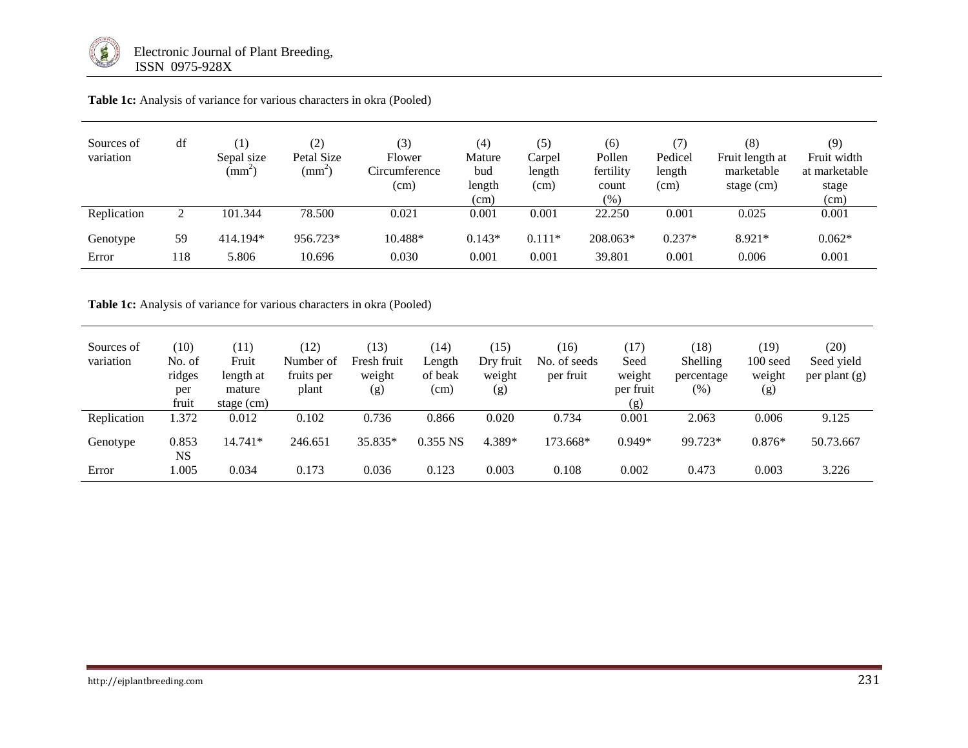

| Sources of<br>variation | df        | $\left(1\right)$<br>Sepal size<br>$\text{(mm}^2)$ | $\left( 2\right)$<br>Petal Size<br>$\text{m}^{\scriptscriptstyle\leftarrow}$ | (3)<br>Flower<br>Circumference<br>(cm) | (4)<br>Mature<br>bud<br>length<br>(cm) | (5)<br>Carpel<br>length<br>(cm) | (6)<br>Pollen<br>fertility<br>count<br>(% ) | (7)<br>Pedicel<br>length<br>(cm) | (8)<br>Fruit length at<br>marketable<br>stage (cm) | (9)<br>Fruit width<br>at marketable<br>stage<br>(cm) |
|-------------------------|-----------|---------------------------------------------------|------------------------------------------------------------------------------|----------------------------------------|----------------------------------------|---------------------------------|---------------------------------------------|----------------------------------|----------------------------------------------------|------------------------------------------------------|
| Replication             | 2         | 101.344                                           | 78.500                                                                       | 0.021                                  | 0.001                                  | 0.001                           | 22.250                                      | 0.001                            | 0.025                                              | 0.001                                                |
| Genotype<br>Error       | 59<br>118 | 414.194*<br>5.806                                 | 956.723*<br>10.696                                                           | 10.488*<br>0.030                       | $0.143*$<br>0.001                      | $0.111*$<br>0.001               | 208.063*<br>39.801                          | $0.237*$<br>0.001                | $8.921*$<br>0.006                                  | $0.062*$<br>0.001                                    |

Table 1c: Analysis of variance for various characters in okra (Pooled)

Table 1c: Analysis of variance for various characters in okra (Pooled)

| Sources of<br>variation | (10)<br>No. of<br>ridges<br>per<br>fruit | (11)<br>Fruit<br>length at<br>mature<br>stage $(cm)$ | (12)<br>Number of<br>fruits per<br>plant | (13)<br>Fresh fruit<br>weight<br>(g) | (14)<br>Length<br>of beak<br>(cm) | (15)<br>Dry fruit<br>weight<br>(g) | (16)<br>No. of seeds<br>per fruit | (17)<br>Seed<br>weight<br>per fruit<br>(g) | (18)<br>Shelling<br>percentage<br>(%) | (19)<br>100 seed<br>weight<br>(g) | (20)<br>Seed yield<br>per plant $(g)$ |
|-------------------------|------------------------------------------|------------------------------------------------------|------------------------------------------|--------------------------------------|-----------------------------------|------------------------------------|-----------------------------------|--------------------------------------------|---------------------------------------|-----------------------------------|---------------------------------------|
| Replication             | 1.372                                    | 0.012                                                | 0.102                                    | 0.736                                | 0.866                             | 0.020                              | 0.734                             | 0.001                                      | 2.063                                 | 0.006                             | 9.125                                 |
| Genotype                | 0.853<br><b>NS</b>                       | 14.741*                                              | 246.651                                  | 35.835*                              | $0.355$ NS                        | 4.389*                             | 173.668*                          | $0.949*$                                   | 99.723*                               | $0.876*$                          | 50.73.667                             |
| Error                   | .005                                     | 0.034                                                | 0.173                                    | 0.036                                | 0.123                             | 0.003                              | 0.108                             | 0.002                                      | 0.473                                 | 0.003                             | 3.226                                 |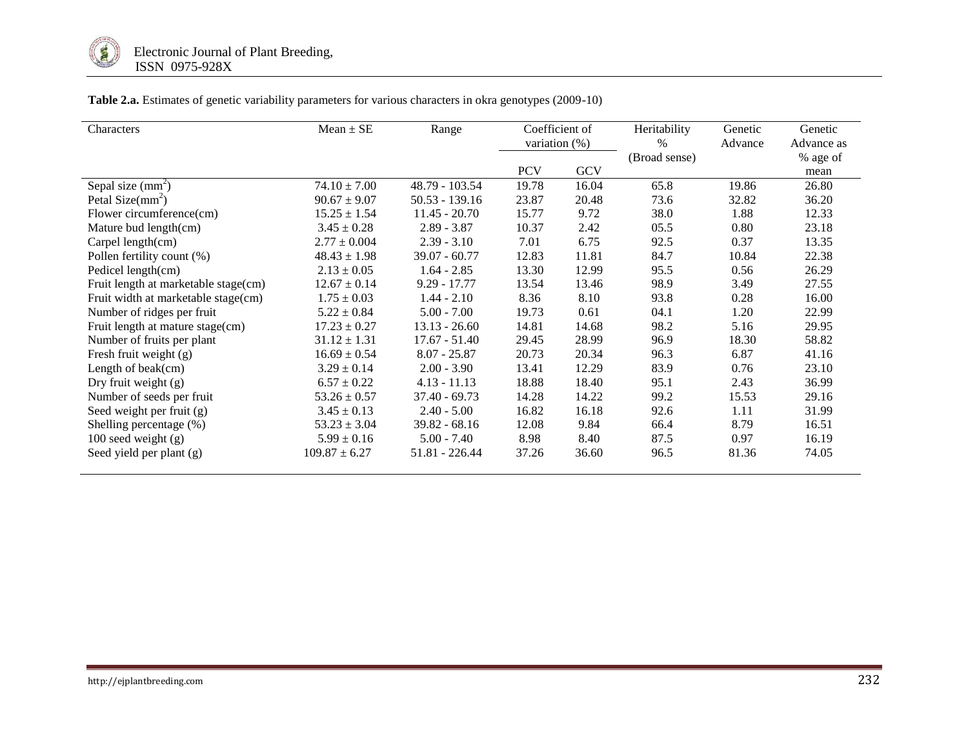

**Table 2.a.** Estimates of genetic variability parameters for various characters in okra genotypes (2009-10)

| Characters                           | $Mean \pm SE$     | Range            | Coefficient of<br>variation $(\%)$ |       | Heritability<br>$\%$ | Genetic<br>Advance | Genetic<br>Advance as |
|--------------------------------------|-------------------|------------------|------------------------------------|-------|----------------------|--------------------|-----------------------|
|                                      |                   |                  |                                    |       | (Broad sense)        |                    | % age of              |
|                                      |                   |                  | <b>PCV</b>                         | GCV   |                      |                    | mean                  |
| Sepal size $(mm2)$                   | $74.10 \pm 7.00$  | 48.79 - 103.54   | 19.78                              | 16.04 | 65.8                 | 19.86              | 26.80                 |
| Petal Size( $mm2$ )                  | $90.67 \pm 9.07$  | 50.53 - 139.16   | 23.87                              | 20.48 | 73.6                 | 32.82              | 36.20                 |
| Flower circumference(cm)             | $15.25 \pm 1.54$  | $11.45 - 20.70$  | 15.77                              | 9.72  | 38.0                 | 1.88               | 12.33                 |
| Mature bud length(cm)                | $3.45 \pm 0.28$   | $2.89 - 3.87$    | 10.37                              | 2.42  | 05.5                 | 0.80               | 23.18                 |
| Carpel length(cm)                    | $2.77 \pm 0.004$  | $2.39 - 3.10$    | 7.01                               | 6.75  | 92.5                 | 0.37               | 13.35                 |
| Pollen fertility count (%)           | $48.43 \pm 1.98$  | $39.07 - 60.77$  | 12.83                              | 11.81 | 84.7                 | 10.84              | 22.38                 |
| Pedicel length(cm)                   | $2.13 \pm 0.05$   | $1.64 - 2.85$    | 13.30                              | 12.99 | 95.5                 | 0.56               | 26.29                 |
| Fruit length at marketable stage(cm) | $12.67 \pm 0.14$  | $9.29 - 17.77$   | 13.54                              | 13.46 | 98.9                 | 3.49               | 27.55                 |
| Fruit width at marketable stage(cm)  | $1.75 \pm 0.03$   | $1.44 - 2.10$    | 8.36                               | 8.10  | 93.8                 | 0.28               | 16.00                 |
| Number of ridges per fruit           | $5.22 \pm 0.84$   | $5.00 - 7.00$    | 19.73                              | 0.61  | 04.1                 | 1.20               | 22.99                 |
| Fruit length at mature stage(cm)     | $17.23 \pm 0.27$  | $13.13 - 26.60$  | 14.81                              | 14.68 | 98.2                 | 5.16               | 29.95                 |
| Number of fruits per plant           | $31.12 \pm 1.31$  | $17.67 - 51.40$  | 29.45                              | 28.99 | 96.9                 | 18.30              | 58.82                 |
| Fresh fruit weight (g)               | $16.69 \pm 0.54$  | $8.07 - 25.87$   | 20.73                              | 20.34 | 96.3                 | 6.87               | 41.16                 |
| Length of beak(cm)                   | $3.29 \pm 0.14$   | $2.00 - 3.90$    | 13.41                              | 12.29 | 83.9                 | 0.76               | 23.10                 |
| Dry fruit weight (g)                 | $6.57 \pm 0.22$   | $4.13 - 11.13$   | 18.88                              | 18.40 | 95.1                 | 2.43               | 36.99                 |
| Number of seeds per fruit            | $53.26 \pm 0.57$  | $37.40 - 69.73$  | 14.28                              | 14.22 | 99.2                 | 15.53              | 29.16                 |
| Seed weight per fruit (g)            | $3.45 \pm 0.13$   | $2.40 - 5.00$    | 16.82                              | 16.18 | 92.6                 | 1.11               | 31.99                 |
| Shelling percentage (%)              | $53.23 \pm 3.04$  | $39.82 - 68.16$  | 12.08                              | 9.84  | 66.4                 | 8.79               | 16.51                 |
| $100$ seed weight $(g)$              | $5.99 \pm 0.16$   | $5.00 - 7.40$    | 8.98                               | 8.40  | 87.5                 | 0.97               | 16.19                 |
| Seed yield per plant (g)             | $109.87 \pm 6.27$ | $51.81 - 226.44$ | 37.26                              | 36.60 | 96.5                 | 81.36              | 74.05                 |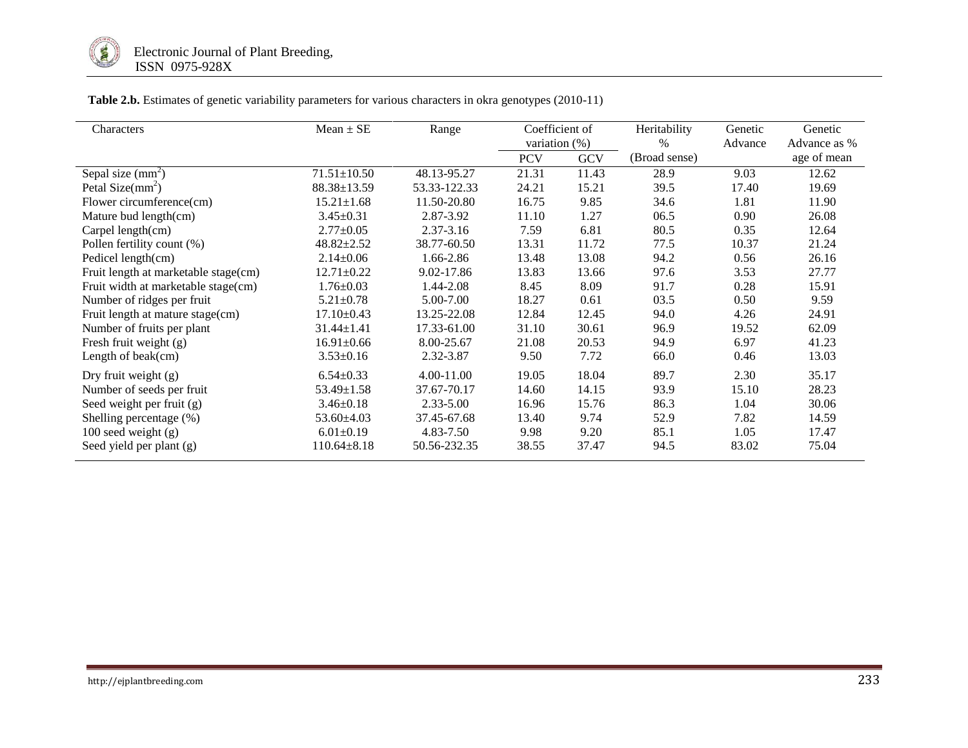

| Characters                           | $Mean \pm SE$     | Range         | Coefficient of   |            | Heritability  | Genetic | Genetic      |
|--------------------------------------|-------------------|---------------|------------------|------------|---------------|---------|--------------|
|                                      |                   |               | variation $(\%)$ |            | $\%$          | Advance | Advance as % |
|                                      |                   |               | <b>PCV</b>       | <b>GCV</b> | (Broad sense) |         | age of mean  |
| Sepal size $(mm2)$                   | $71.51 \pm 10.50$ | 48.13-95.27   | 21.31            | 11.43      | 28.9          | 9.03    | 12.62        |
| Petal Size $(mm^2)$                  | $88.38 \pm 13.59$ | 53.33-122.33  | 24.21            | 15.21      | 39.5          | 17.40   | 19.69        |
| Flower circumference(cm)             | $15.21 \pm 1.68$  | 11.50-20.80   | 16.75            | 9.85       | 34.6          | 1.81    | 11.90        |
| Mature bud length(cm)                | $3.45 \pm 0.31$   | 2.87-3.92     | 11.10            | 1.27       | 06.5          | 0.90    | 26.08        |
| Carpel length(cm)                    | $2.77 \pm 0.05$   | 2.37-3.16     | 7.59             | 6.81       | 80.5          | 0.35    | 12.64        |
| Pollen fertility count (%)           | $48.82 \pm 2.52$  | 38.77-60.50   | 13.31            | 11.72      | 77.5          | 10.37   | 21.24        |
| Pedicel length(cm)                   | $2.14 \pm 0.06$   | 1.66-2.86     | 13.48            | 13.08      | 94.2          | 0.56    | 26.16        |
| Fruit length at marketable stage(cm) | $12.71 \pm 0.22$  | 9.02-17.86    | 13.83            | 13.66      | 97.6          | 3.53    | 27.77        |
| Fruit width at marketable stage(cm)  | $1.76 \pm 0.03$   | 1.44-2.08     | 8.45             | 8.09       | 91.7          | 0.28    | 15.91        |
| Number of ridges per fruit           | $5.21 \pm 0.78$   | 5.00-7.00     | 18.27            | 0.61       | 03.5          | 0.50    | 9.59         |
| Fruit length at mature stage(cm)     | $17.10 \pm 0.43$  | 13.25-22.08   | 12.84            | 12.45      | 94.0          | 4.26    | 24.91        |
| Number of fruits per plant           | $31.44 \pm 1.41$  | 17.33-61.00   | 31.10            | 30.61      | 96.9          | 19.52   | 62.09        |
| Fresh fruit weight $(g)$             | $16.91 \pm 0.66$  | 8.00-25.67    | 21.08            | 20.53      | 94.9          | 6.97    | 41.23        |
| Length of beak(cm)                   | $3.53 \pm 0.16$   | 2.32-3.87     | 9.50             | 7.72       | 66.0          | 0.46    | 13.03        |
| Dry fruit weight $(g)$               | $6.54 \pm 0.33$   | 4.00-11.00    | 19.05            | 18.04      | 89.7          | 2.30    | 35.17        |
| Number of seeds per fruit            | $53.49 \pm 1.58$  | 37.67-70.17   | 14.60            | 14.15      | 93.9          | 15.10   | 28.23        |
| Seed weight per fruit (g)            | $3.46 \pm 0.18$   | $2.33 - 5.00$ | 16.96            | 15.76      | 86.3          | 1.04    | 30.06        |
| Shelling percentage (%)              | $53.60 \pm 4.03$  | 37.45-67.68   | 13.40            | 9.74       | 52.9          | 7.82    | 14.59        |
| 100 seed weight $(g)$                | $6.01 \pm 0.19$   | 4.83-7.50     | 9.98             | 9.20       | 85.1          | 1.05    | 17.47        |
| Seed yield per plant (g)             | $110.64 \pm 8.18$ | 50.56-232.35  | 38.55            | 37.47      | 94.5          | 83.02   | 75.04        |

**Table 2.b.** Estimates of genetic variability parameters for various characters in okra genotypes (2010-11)